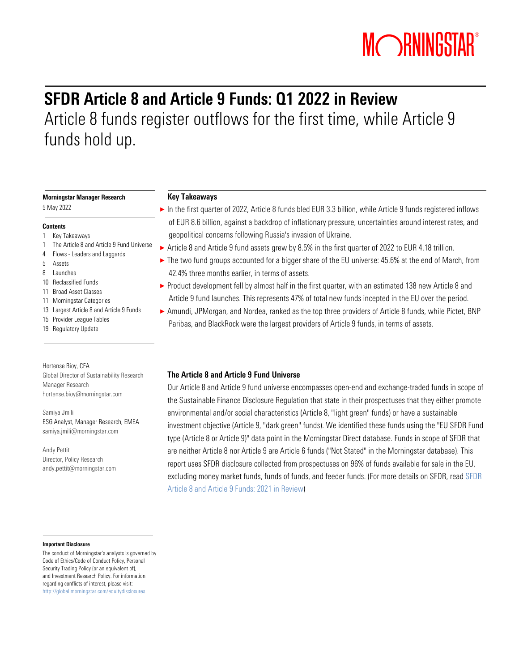# MORNINGSTAR®

## SFDR Article 8 and Article 9 Funds: Q1 2022 in Review Article 8 funds register outflows for the first time, while Article 9 funds hold up.

### Morningstar Manager Research

5 May 2022

### **Contents**

- 1 Key Takeaways
- 1 The Article 8 and Article 9 Fund Universe
- 4 Flows Leaders and Laggards
- 5 Assets
- 8 Launches
- 10 Reclassified Funds
- 11 Broad Asset Classes
- 11 Morningstar Categories
- 13 Largest Article 8 and Article 9 Funds 15 Provider League Tables
- 19 Regulatory Update

### Hortense Bioy, CFA Global Director of Sustainability Research Manager Research hortense.bioy@morningstar.com

Samiya Jmili ESG Analyst, Manager Research, EMEA samiya.jmili@morningstar.com

Andy Pettit Director, Policy Research [andy.pettit@morningstar.com](mailto:andy.pettit@morningstar.com)

### Important Disclosure

The conduct of Morningstar's analysts is governed by Code of Ethics/Code of Conduct Policy, Personal Security Trading Policy (or an equivalent of), and Investment Research Policy. For information regarding conflicts of interest, please visit: http://global.morningstar.com/equitydisclosures

### Key Takeaways

- ► In the first quarter of 2022, Article 8 funds bled EUR 3.3 billion, while Article 9 funds registered inflows of EUR 8.6 billion, against a backdrop of inflationary pressure, uncertainties around interest rates, and geopolitical concerns following Russia's invasion of Ukraine.
- ▶ Article 8 and Article 9 fund assets grew by 8.5% in the first quarter of 2022 to EUR 4.18 trillion.
- ► The two fund groups accounted for a bigger share of the EU universe: 45.6% at the end of March, from 42.4% three months earlier, in terms of assets.
- ▶ Product development fell by almost half in the first quarter, with an estimated 138 new Article 8 and Article 9 fund launches. This represents 47% of total new funds incepted in the EU over the period.
- ► Amundi, JPMorgan, and Nordea, ranked as the top three providers of Article 8 funds, while Pictet, BNP Paribas, and BlackRock were the largest providers of Article 9 funds, in terms of assets.

### The Article 8 and Article 9 Fund Universe

Our Article 8 and Article 9 fund universe encompasses open-end and exchange-traded funds in scope of the Sustainable Finance Disclosure Regulation that state in their prospectuses that they either promote environmental and/or social characteristics (Article 8, "light green" funds) or have a sustainable investment objective (Article 9, "dark green" funds). We identified these funds using the "EU SFDR Fund type (Article 8 or Article 9)" data point in the Morningstar Direct database. Funds in scope of SFDR that are neither Article 8 nor Article 9 are Article 6 funds ("Not Stated" in the Morningstar database). This report uses SFDR disclosure collected from prospectuses on 96% of funds available for sale in the EU, excluding money market funds, funds of funds, and feeder funds. (For more details on SFDR, read [SFDR](https://assets.contentstack.io/v3/assets/blt4eb669caa7dc65b2/blt989542c4fba32038/6203ce883d56844907a2b5e3/SFDR-Article-8-and-Article-9-Funds-2021-in-Review.pdf)  [Article 8 and Article 9 Funds: 2021 in Review\)](https://assets.contentstack.io/v3/assets/blt4eb669caa7dc65b2/blt989542c4fba32038/6203ce883d56844907a2b5e3/SFDR-Article-8-and-Article-9-Funds-2021-in-Review.pdf)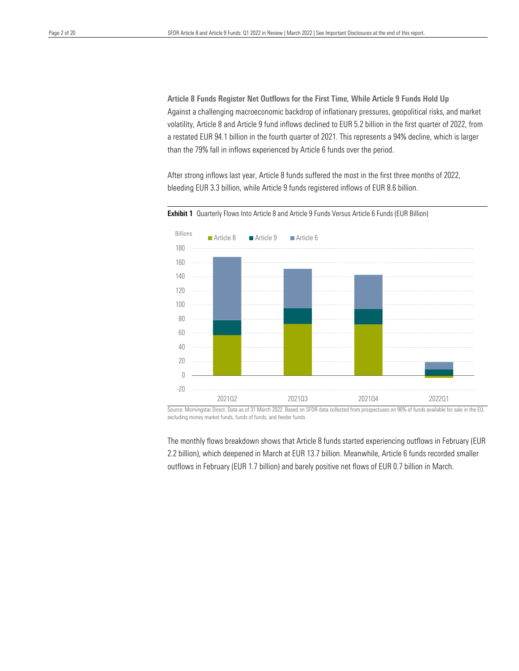Against a challenging macroeconomic backdrop of inflationary pressures, geopolitical risks, and market volatility, Article 8 and Article 9 fund inflows declined to EUR 5.2 billion in the first quarter of 2022, from than the 79% fall in inflows experienced by Article 6 funds over the period. Article 8 Funds Register Net Outflows for the First Time, While Article 9 Funds Hold Up a restated EUR 94.1 billion in the fourth quarter of 2021. This represents a 94% decline, which is larger

After strong inflows last year, Article 8 funds suffered the most in the first three months of 2022, bleeding EUR 3.3 billion, while Article 9 funds registered inflows of EUR 8.6 billion.



Exhibit 1 Quarterly Flows Into Article 8 and Article 9 Funds Versus Article 6 Funds (EUR Billion)

Source: Morningstar Direct. Data as of 31 March 2022. Based on SFDR data collected from prospectuses on 96% of funds available for sale in the EU, excluding money market funds, funds of funds, and feeder funds.

The monthly flows breakdown shows that Article 8 funds started experiencing outflows in February (EUR 2.2 billion), which deepened in March at EUR 13.7 billion. Meanwhile, Article 6 funds recorded smaller outflows in February (EUR 1.7 billion) and barely positive net flows of EUR 0.7 billion in March.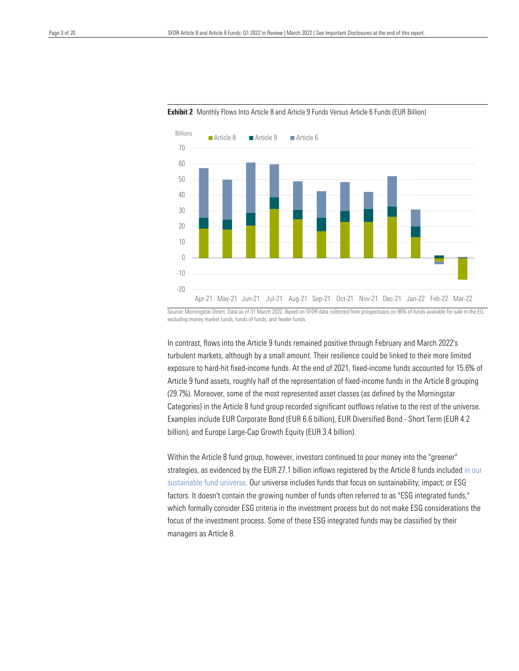



Source: Morningstar Direct. Data as of 31 March 2022. Based on SFDR data collected from prospectuses on 96% of funds available for sale in the EU, excluding money market funds, funds of funds, and feeder funds.

In contrast, flows into the Article 9 funds remained positive through February and March 2022's turbulent markets, although by a small amount. Their resilience could be linked to their more limited exposure to hard-hit fixed-income funds. At the end of 2021, fixed-income funds accounted for 15.6% of Article 9 fund assets, roughly half of the representation of fixed-income funds in the Article 8 grouping (29.7%). Moreover, some of the most represented asset classes (as defined by the Morningstar Categories) in the Article 8 fund group recorded significant outflows relative to the rest of the universe. Examples include EUR Corporate Bond (EUR 6.6 billion), EUR Diversified Bond - Short Term (EUR 4.2 billion), and Europe Large-Cap Growth Equity (EUR 3.4 billion).

Within the Article 8 fund group, however, investors continued to pour money into the "greener" strategies, as evidenced by the EUR 27.1 billion inflows registered by the Article 8 funds included in our [sustainable fund universe.](https://www.morningstar.com/lp/global-esg-flows?promo_name=global-sustainable-fund-flows&promo_id=brand&promo_position=carousel) Our universe includes funds that focus on sustainability; impact; or ESG factors. It doesn't contain the growing number of funds often referred to as "ESG integrated funds," which formally consider ESG criteria in the investment process but do not make ESG considerations the focus of the investment process. Some of these ESG integrated funds may be classified by their managers as Article 8.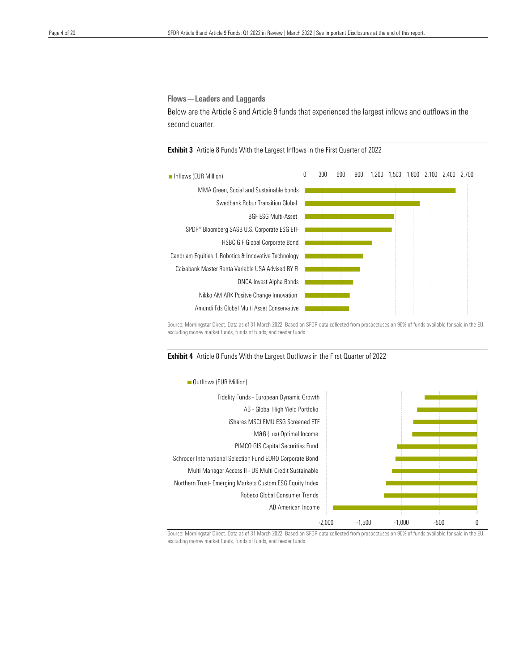Flows—Leaders and Laggards

 Below are the Article 8 and Article 9 funds that experienced the largest inflows and outflows in the second quarter.

**Exhibit 3** Article 8 Funds With the Largest Inflows in the First Quarter of 2022



Source: Morningstar Direct. Data as of 31 March 2022. Based on SFDR data collected from prospectuses on 96% of funds available for sale in the EU, excluding money market funds, funds of funds, and feeder funds.





Source: Morningstar Direct. Data as of 31 March 2022. Based on SFDR data collected from prospectuses on 96% of funds available for sale in the EU, excluding money market funds, funds of funds, and feeder funds.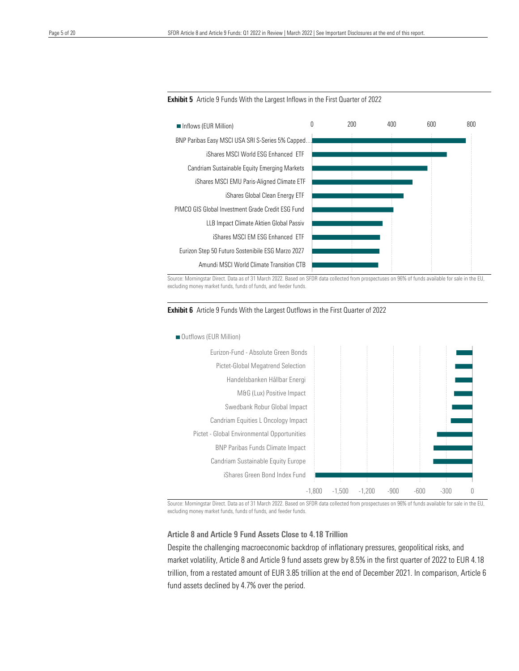

 $\overline{a}$ 



Source: Morningstar Direct. Data as of 31 March 2022. Based on SFDR data collected from prospectuses on 96% of funds available for sale in the EU, excluding money market funds, funds of funds, and feeder funds.





Source: Morningstar Direct. Data as of 31 March 2022. Based on SFDR data collected from prospectuses on 96% of funds available for sale in the EU, excluding money market funds, funds of funds, and feeder funds.

### Article 8 and Article 9 Fund Assets Close to 4.18 Trillion

Despite the challenging macroeconomic backdrop of inflationary pressures, geopolitical risks, and market volatility, Article 8 and Article 9 fund assets grew by 8.5% in the first quarter of 2022 to EUR 4.18 trillion, from a restated amount of EUR 3.85 trillion at the end of December 2021. In comparison, Article 6 fund assets declined by 4.7% over the period.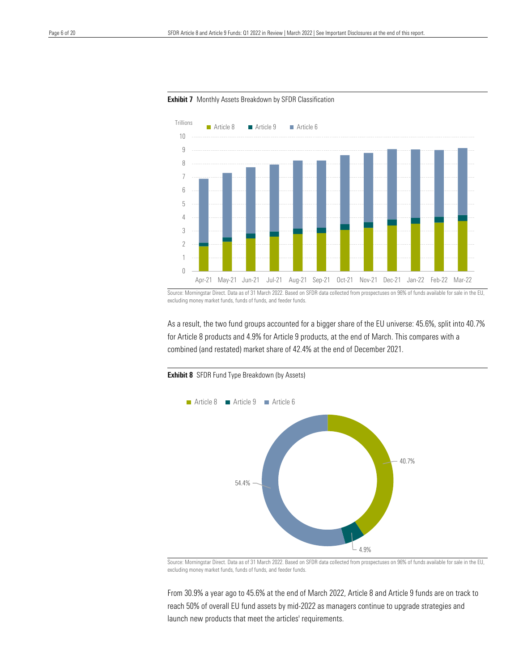



 $\overline{a}$ 

Source: Morningstar Direct. Data as of 31 March 2022. Based on SFDR data collected from prospectuses on 96% of funds available for sale in the EU, excluding money market funds, funds of funds, and feeder funds.

As a result, the two fund groups accounted for a bigger share of the EU universe: 45.6%, split into 40.7% for Article 8 products and 4.9% for Article 9 products, at the end of March. This compares with a combined (and restated) market share of 42.4% at the end of December 2021.



**Exhibit 8** SFDR Fund Type Breakdown (by Assets)

excluding money market funds, funds of funds, and feeder funds.

From 30.9% a year ago to 45.6% at the end of March 2022, Article 8 and Article 9 funds are on track to reach 50% of overall EU fund assets by mid-2022 as managers continue to upgrade strategies and launch new products that meet the articles' requirements.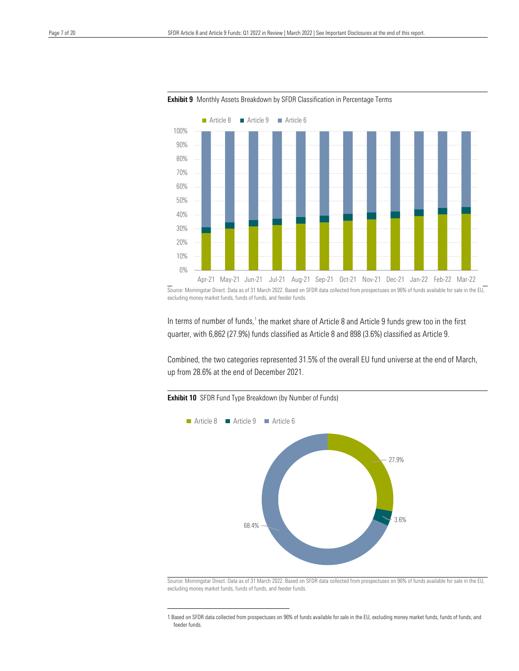



 $\overline{a}$ 

Source: Morningstar Direct. Data as of 31 March 2022. Based on SFDR data collected from prospectuses on 96% of funds available for sale in the EU, excluding money market funds, funds of funds, and feeder funds.

In terms of number of funds,<sup>[1](#page-6-0)</sup> the market share of Article 8 and Article 9 funds grew too in the first quarter, with 6,862 (27.9%) funds classified as Article 8 and 898 (3.6%) classified as Article 9.

Combined, the two categories represented 31.5% of the overall EU fund universe at the end of March, up from 28.6% at the end of December 2021.

### **Exhibit 10** SFDR Fund Type Breakdown (by Number of Funds)



 Source: Morningstar Direct. Data as of 31 March 2022. Based on SFDR data collected from prospectuses on 96% of funds available for sale in the EU, excluding money market funds, funds of funds, and feeder funds.

<span id="page-6-0"></span><sup>1</sup> Based on SFDR data collected from prospectuses on 96% of funds available for sale in the EU, excluding money market funds, funds of funds, and feeder funds.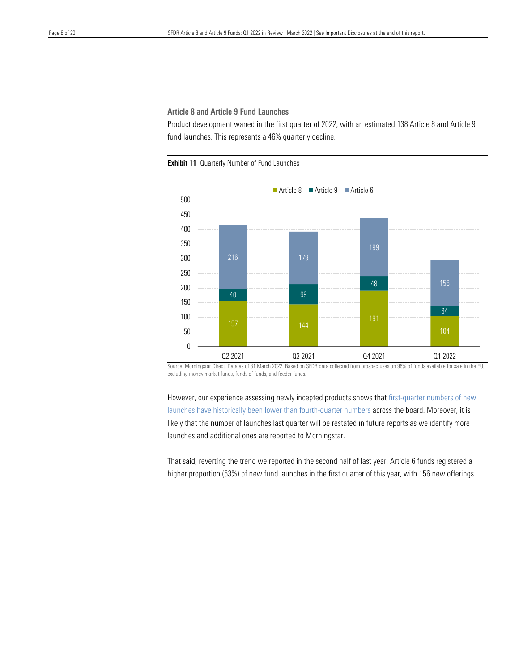### Article 8 and Article 9 Fund Launches

 Product development waned in the first quarter of 2022, with an estimated 138 Article 8 and Article 9 fund launches. This represents a 46% quarterly decline.





Source: Morningstar Direct. Data as of 31 March 2022. Based on SFDR data collected from prospectuses on 96% of funds available for sale in the EU, excluding money market funds, funds of funds, and feeder funds.

However, our experience assessing newly incepted products shows tha[t first-quarter numbers of new](https://www.morningstar.com/lp/global-esg-flows?promo_name=global-sustainable-fund-flows&promo_id=brand&promo_position=carousel)  [launches have historically been lower than fourth-quarter numbers](https://www.morningstar.com/lp/global-esg-flows?promo_name=global-sustainable-fund-flows&promo_id=brand&promo_position=carousel) across the board. Moreover, it is likely that the number of launches last quarter will be restated in future reports as we identify more launches and additional ones are reported to Morningstar.

That said, reverting the trend we reported in the second half of last year, Article 6 funds registered a higher proportion (53%) of new fund launches in the first quarter of this year, with 156 new offerings.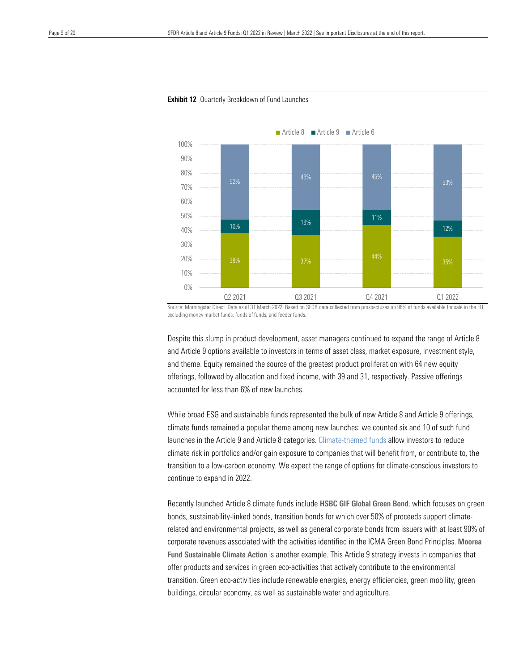

#### **Exhibit 12** Quarterly Breakdown of Fund Launches

 $\overline{a}$ 

Source: Morningstar Direct. Data as of 31 March 2022. Based on SFDR data collected from prospectuses on 96% of funds available for sale in the EU, excluding money market funds, funds of funds, and feeder funds.

Despite this slump in product development, asset managers continued to expand the range of Article 8 and Article 9 options available to investors in terms of asset class, market exposure, investment style, and theme. Equity remained the source of the greatest product proliferation with 64 new equity offerings, followed by allocation and fixed income, with 39 and 31, respectively. Passive offerings accounted for less than 6% of new launches.

While broad ESG and sustainable funds represented the bulk of new Article 8 and Article 9 offerings, climate funds remained a popular theme among new launches: we counted six and 10 of such fund launches in the Article 9 and Article 8 categories. [Climate-themed funds](https://www.morningstar.com/en-uk/lp/investing-in-times-of-climate-change) allow investors to reduce climate risk in portfolios and/or gain exposure to companies that will benefit from, or contribute to, the transition to a low-carbon economy. We expect the range of options for climate-conscious investors to continue to expand in 2022.

Recently launched Article 8 climate funds include HSBC GIF Global Green Bond, which focuses on green bonds, sustainability-linked bonds, transition bonds for which over 50% of proceeds support climaterelated and environmental projects, as well as general corporate bonds from issuers with at least 90% of corporate revenues associated with the activities identified in the ICMA Green Bond Principles. Moorea Fund Sustainable Climate Action is another example. This Article 9 strategy invests in companies that offer products and services in green eco-activities that actively contribute to the environmental transition. Green eco-activities include renewable energies, energy efficiencies, green mobility, green buildings, circular economy, as well as sustainable water and agriculture.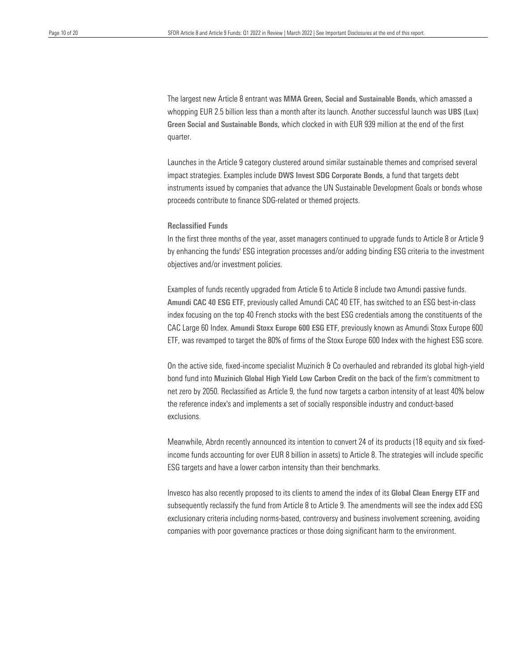whopping EUR 2.5 billion less than a month after its launch. Another successful launch was UBS (Lux) Green Social and Sustainable Bonds, which clocked in with EUR 939 million at the end of the first The largest new Article 8 entrant was MMA Green, Social and Sustainable Bonds, which amassed a quarter.

 Launches in the Article 9 category clustered around similar sustainable themes and comprised several impact strategies. Examples include DWS Invest SDG Corporate Bonds, a fund that targets debt instruments issued by companies that advance the UN Sustainable Development Goals or bonds whose proceeds contribute to finance SDG-related or themed projects.

### Reclassified Funds

In the first three months of the year, asset managers continued to upgrade funds to Article 8 or Article 9 by enhancing the funds' ESG integration processes and/or adding binding ESG criteria to the investment objectives and/or investment policies.

Examples of funds recently upgraded from Article 6 to Article 8 include two Amundi passive funds. Amundi CAC 40 ESG ETF, previously called Amundi CAC 40 ETF, has switched to an ESG best-in-class index focusing on the top 40 French stocks with the best ESG credentials among the constituents of the CAC Large 60 Index. Amundi Stoxx Europe 600 ESG ETF, previously known as Amundi Stoxx Europe 600 ETF, was revamped to target the 80% of firms of the Stoxx Europe 600 Index with the highest ESG score.

On the active side, fixed-income specialist Muzinich & Co overhauled and rebranded its global high-yield bond fund into Muzinich Global High Yield Low Carbon Credit on the back of the firm's commitment to net zero by 2050. Reclassified as Article 9, the fund now targets a carbon intensity of at least 40% below the reference index's and implements a set of socially responsible industry and conduct-based exclusions.

Meanwhile, Abrdn recently announced its intention to convert 24 of its products (18 equity and six fixedincome funds accounting for over EUR 8 billion in assets) to Article 8. The strategies will include specific ESG targets and have a lower carbon intensity than their benchmarks.

Invesco has also recently proposed to its clients to amend the index of its [Global Clean Energy ETF](https://etfstream.com/news/invesco-clean-energy-etf-to-be-labelled-sfdr-article-9-after-index-tweaks/) and subsequently reclassify the fund from Article 8 to Article 9. The amendments will see the index add ESG exclusionary criteria including norms-based, controversy and business involvement screening, avoiding companies with poor governance practices or those doing significant harm to the environment.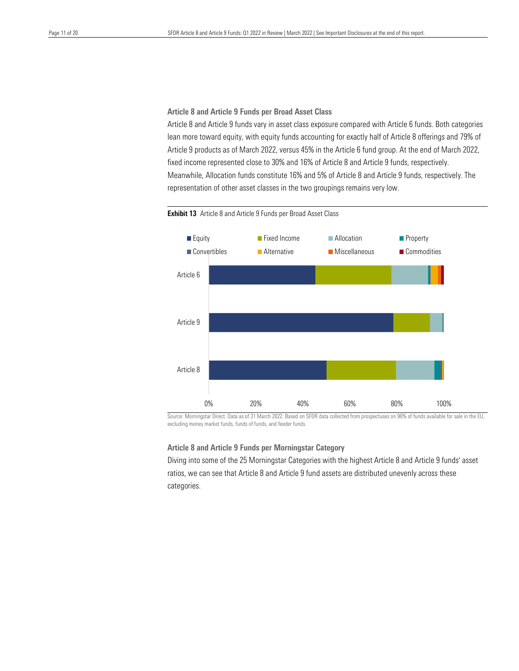### Article 8 and Article 9 Funds per Broad Asset Class

 Article 8 and Article 9 funds vary in asset class exposure compared with Article 6 funds. Both categories Article 9 products as of March 2022, versus 45% in the Article 6 fund group. At the end of March 2022, fixed income represented close to 30% and 16% of Article 8 and Article 9 funds, respectively. lean more toward equity, with equity funds accounting for exactly half of Article 8 offerings and 79% of Meanwhile, Allocation funds constitute 16% and 5% of Article 8 and Article 9 funds, respectively. The representation of other asset classes in the two groupings remains very low.



#### Exhibit 13 Article 8 and Article 9 Funds per Broad Asset Class

Source: Morningstar Direct. Data as of 31 March 2022. Based on SFDR data collected from prospectuses on 96% of funds available for sale in the EU, excluding money market funds, funds of funds, and feeder funds.

### Article 8 and Article 9 Funds per Morningstar Category

Diving into some of the 25 Morningstar Categories with the highest Article 8 and Article 9 funds' asset ratios, we can see that Article 8 and Article 9 fund assets are distributed unevenly across these categories.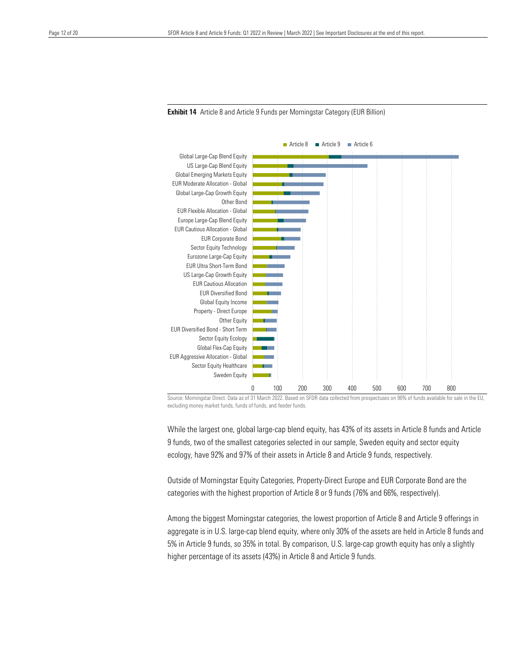

**Exhibit 14** Article 8 and Article 9 Funds per Morningstar Category (EUR Billion)

Source: Morningstar Direct. Data as of 31 March 2022. Based on SFDR data collected from prospectuses on 96% of funds available for sale in the EU, excluding money market funds, funds of funds, and feeder funds.

While the largest one, global large-cap blend equity, has 43% of its assets in Article 8 funds and Article 9 funds, two of the smallest categories selected in our sample, Sweden equity and sector equity ecology, have 92% and 97% of their assets in Article 8 and Article 9 funds, respectively.

Outside of Morningstar Equity Categories, Property-Direct Europe and EUR Corporate Bond are the categories with the highest proportion of Article 8 or 9 funds (76% and 66%, respectively).

Among the biggest Morningstar categories, the lowest proportion of Article 8 and Article 9 offerings in aggregate is in U.S. large-cap blend equity, where only 30% of the assets are held in Article 8 funds and 5% in Article 9 funds, so 35% in total. By comparison, U.S. large-cap growth equity has only a slightly higher percentage of its assets (43%) in Article 8 and Article 9 funds.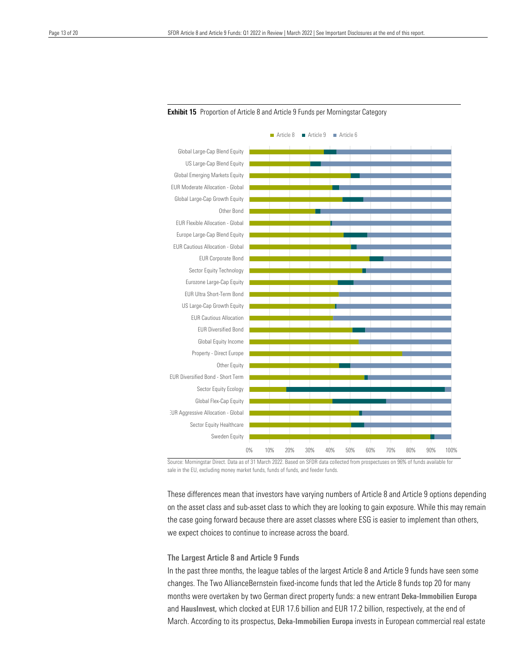



Source: Morningstar Direct. Data as of 31 March 2022. Based on SFDR data collected from prospectuses on 96% of funds available for sale in the EU, excluding money market funds, funds of funds, and feeder funds.

These differences mean that investors have varying numbers of Article 8 and Article 9 options depending on the asset class and sub-asset class to which they are looking to gain exposure. While this may remain the case going forward because there are asset classes where ESG is easier to implement than others, we expect choices to continue to increase across the board.

### The Largest Article 8 and Article 9 Funds

In the past three months, the league tables of the largest Article 8 and Article 9 funds have seen some changes. The Two AllianceBernstein fixed-income funds that led the Article 8 funds top 20 for many months were overtaken by two German direct property funds: a new entrant Deka-Immobilien Europa and HausInvest, which clocked at EUR 17.6 billion and EUR 17.2 billion, respectively, at the end of March. According to its prospectus, Deka-Immobilien Europa invests in European commercial real estate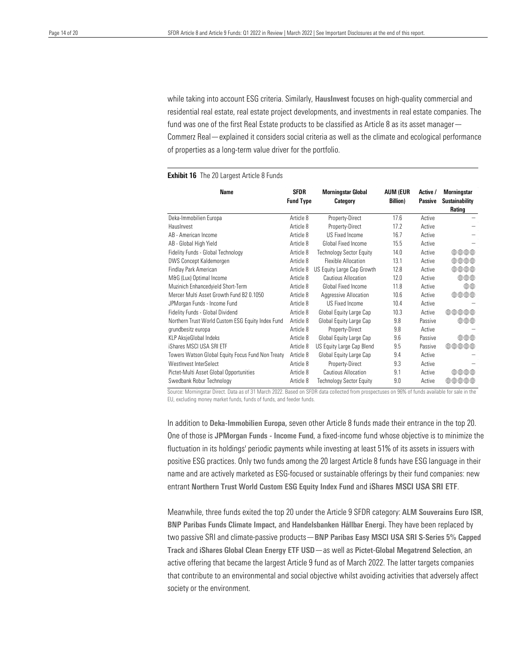residential real estate, real estate project developments, and investments in real estate companies. The fund was one of the first Real Estate products to be classified as Article 8 as its asset manager— of properties as a long-term value driver for the portfolio. while taking into account ESG criteria. Similarly, HausInvest focuses on high-quality commercial and Commerz Real[—explained](https://www.commerzreal.com/en/press-release/press-release/hausinvest-classified-as-a-sustainable-fund/) it considers social criteria as well as the climate and ecological performance

| <b>Name</b>                                       | <b>SFDR</b><br><b>Fund Type</b> | <b>Morningstar Global</b><br>Category | AUM (EUR<br><b>Billion</b> ) | Active /<br><b>Passive</b> | <b>Morningstar</b><br><b>Sustainability</b><br>Rating |  |
|---------------------------------------------------|---------------------------------|---------------------------------------|------------------------------|----------------------------|-------------------------------------------------------|--|
| Deka-Immobilien Europa                            | Article 8                       | Property-Direct                       | 17.6                         | Active                     |                                                       |  |
| Hauslnyest                                        | Article 8                       | Property-Direct                       | 17.2                         | Active                     |                                                       |  |
| AB - American Income                              | Article 8                       | <b>US Fixed Income</b>                | 16.7                         | Active                     |                                                       |  |
| AB - Global High Yield                            | Article 8                       | Global Fixed Income                   | 15.5                         | Active                     |                                                       |  |
| Fidelity Funds - Global Technology                | Article 8                       | <b>Technology Sector Equity</b>       | 14.0                         | Active                     | $\oplus\oplus\oplus\oplus$                            |  |
| <b>DWS Concept Kaldemorgen</b>                    | Article 8                       | <b>Flexible Allocation</b>            | 13.1                         | Active                     | $\oplus\oplus\oplus\oplus$                            |  |
| Findlay Park American                             | Article 8                       | US Equity Large Cap Growth            | 12.8                         | Active                     | $\oplus\oplus\oplus\oplus$                            |  |
| M&G (Lux) Optimal Income                          | Article 8                       | Cautious Allocation                   | 12.0                         | Active                     | $\oplus\oplus\oplus$                                  |  |
| Muzinich Enhancedyield Short-Term                 | Article 8                       | Global Fixed Income                   | 11.8                         | Active                     | ⊕⊕                                                    |  |
| Mercer Multi Asset Growth Fund B2 0.1050          | Article 8                       | Aggressive Allocation                 | 10.6                         | Active                     | $\oplus\oplus\oplus\oplus$                            |  |
| JPMorgan Funds - Income Fund                      | Article 8                       | <b>US Fixed Income</b>                | 10.4                         | Active                     |                                                       |  |
| Fidelity Funds - Global Dividend                  | Article 8                       | Global Equity Large Cap               | 10.3                         | Active                     | 曲曲曲曲曲                                                 |  |
| Northern Trust World Custom ESG Equity Index Fund | Article 8                       | Global Equity Large Cap               | 9.8                          | Passive                    | ***                                                   |  |
| grundbesitz europa                                | Article 8                       | Property-Direct                       | 9.8                          | Active                     |                                                       |  |
| <b>KLP AksjeGlobal Indeks</b>                     | Article 8                       | Global Equity Large Cap               | 9.6                          | Passive                    | ***                                                   |  |
| iShares MSCI USA SRI ETF                          | Article 8                       | US Equity Large Cap Blend             | 9.5                          | Passive                    | $\oplus\oplus\oplus\oplus$                            |  |
| Towers Watson Global Equity Focus Fund Non Treaty | Article 8                       | Global Equity Large Cap               | 9.4                          | Active                     |                                                       |  |
| WestInvest InterSelect                            | Article 8                       | Property-Direct                       | 9.3                          | Active                     |                                                       |  |
| Pictet-Multi Asset Global Opportunities           | Article 8                       | Cautious Allocation                   | 9.1                          | Active                     | $\oplus\oplus\oplus\oplus$                            |  |
| Swedbank Robur Technology                         | Article 8                       | <b>Technology Sector Equity</b>       | 9.0                          | Active                     | 曲曲曲曲曲                                                 |  |

#### Exhibit 16 The 20 Largest Article 8 Funds

Source: Morningstar Direct. Data as of 31 March 2022. Based on SFDR data collected from prospectuses on 96% of funds available for sale in the EU, excluding money market funds, funds of funds, and feeder funds.

In addition to Deka-Immobilien Europa, seven other Article 8 funds made their entrance in the top 20. One of those is JPMorgan Funds - Income Fund, a fixed-income fund whose objective is to minimize the fluctuation in its holdings' periodic payments while investing at least 51% of its assets in issuers with positive ESG practices. Only two funds among the 20 largest Article 8 funds have ESG language in their name and are actively marketed as ESG-focused or sustainable offerings by their fund companies: new entrant Northern Trust World Custom ESG Equity Index Fund and iShares MSCI USA SRI ETF.

Meanwhile, three funds exited the top 20 under the Article 9 SFDR category: ALM Souverains Euro ISR, BNP Paribas Funds Climate Impact, and Handelsbanken Hållbar Energi. They have been replaced by two passive SRI and climate-passive products—BNP Paribas Easy MSCI USA SRI S-Series 5% Capped Track and iShares Global Clean Energy ETF USD—as well as Pictet-Global Megatrend Selection, an active offering that became the largest Article 9 fund as of March 2022. The latter targets companies that contribute to an environmental and social objective whilst avoiding activities that adversely affect society or the environment.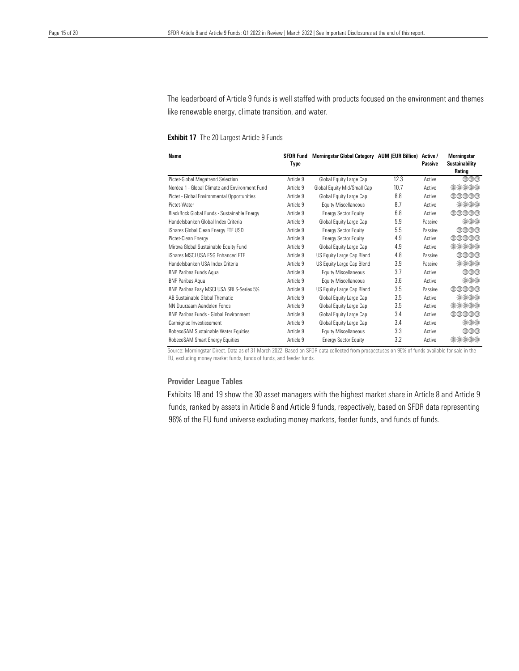like renewable energy, climate transition, and water. The leaderboard of Article 9 funds is well staffed with products focused on the environment and themes

### **Exhibit 17** The 20 Largest Article 9 Funds

| Name                                           | <b>SFDR Fund</b><br>Type | Morningstar Global Category AUM (EUR Billion) |      | Active /<br>Passive | <b>Morningstar</b><br><b>Sustainability</b><br>Rating |  |
|------------------------------------------------|--------------------------|-----------------------------------------------|------|---------------------|-------------------------------------------------------|--|
| Pictet-Global Megatrend Selection              | Article 9                | Global Equity Large Cap                       | 12.3 | Active              | $\oplus\oplus\oplus$                                  |  |
| Nordea 1 - Global Climate and Environment Fund | Article 9                | Global Equity Mid/Small Cap                   | 10.7 | Active              | 000000                                                |  |
| Pictet - Global Environmental Opportunities    | Article 9                | Global Equity Large Cap                       | 8.8  | Active              | 曲曲曲曲曲                                                 |  |
| Pictet-Water                                   | Article 9                | <b>Equity Miscellaneous</b>                   | 8.7  | Active              | $\oplus\oplus\oplus\oplus$                            |  |
| BlackRock Global Funds - Sustainable Energy    | Article 9                | <b>Energy Sector Equity</b>                   | 6.8  | Active              | $\oplus\oplus\oplus\oplus$                            |  |
| Handelsbanken Global Index Criteria            | Article 9                | Global Equity Large Cap                       | 5.9  | Passive             | $\oplus\oplus\oplus$                                  |  |
| iShares Global Clean Energy ETF USD            | Article 9                | <b>Energy Sector Equity</b>                   | 5.5  | Passive             | 曲曲曲曲                                                  |  |
| Pictet-Clean Energy                            | Article 9                | <b>Energy Sector Equity</b>                   | 4.9  | Active              | $\oplus\oplus\oplus\oplus$                            |  |
| Mirova Global Sustainable Equity Fund          | Article 9                | Global Equity Large Cap                       | 4.9  | Active              | ⊕⊕⊕⊕⊕                                                 |  |
| iShares MSCI USA ESG Enhanced ETE              | Article 9                | US Equity Large Cap Blend                     | 4.8  | Passive             | $\oplus\oplus\oplus\oplus$                            |  |
| Handelsbanken USA Index Criteria               | Article 9                | US Equity Large Cap Blend                     | 3.9  | Passive             | $\oplus\oplus\oplus$                                  |  |
| <b>BNP Paribas Funds Agua</b>                  | Article 9                | <b>Equity Miscellaneous</b>                   | 3.7  | Active              | $\oplus\oplus\oplus$                                  |  |
| <b>BNP Paribas Agua</b>                        | Article 9                | <b>Equity Miscellaneous</b>                   | 3.6  | Active              | $\oplus\oplus\oplus$                                  |  |
| BNP Paribas Easy MSCI USA SRI S-Series 5%      | Article 9                | US Equity Large Cap Blend                     | 3.5  | Passive             | 曲曲曲曲曲                                                 |  |
| AB Sustainable Global Thematic                 | Article 9                | Global Equity Large Cap                       | 3.5  | Active              | $\oplus\oplus\oplus\oplus$                            |  |
| NN Duurzaam Aandelen Fonds                     | Article 9                | Global Equity Large Cap                       | 3.5  | Active              | $\oplus\oplus\oplus\oplus$                            |  |
| <b>BNP Paribas Funds - Global Environment</b>  | Article 9                | Global Equity Large Cap                       | 3.4  | Active              | ⊕⊕⊕⊕⊕                                                 |  |
| Carmignac Investissement                       | Article 9                | Global Equity Large Cap                       | 3.4  | Active              | $\oplus\oplus\oplus$                                  |  |
| RobecoSAM Sustainable Water Equities           | Article 9                | <b>Equity Miscellaneous</b>                   | 3.3  | Active              | ⊕⊕⊕                                                   |  |
| RobecoSAM Smart Energy Equities                | Article 9                | <b>Energy Sector Equity</b>                   | 3.2  | Active              | കകകകക                                                 |  |

Source: Morningstar Direct. Data as of 31 March 2022. Based on SFDR data collected from prospectuses on 96% of funds available for sale in the EU, excluding money market funds, funds of funds, and feeder funds.

### Provider League Tables

Exhibits 18 and 19 show the 30 asset managers with the highest market share in Article 8 and Article 9 funds, ranked by assets in Article 8 and Article 9 funds, respectively, based on SFDR data representing 96% of the EU fund universe excluding money markets, feeder funds, and funds of funds.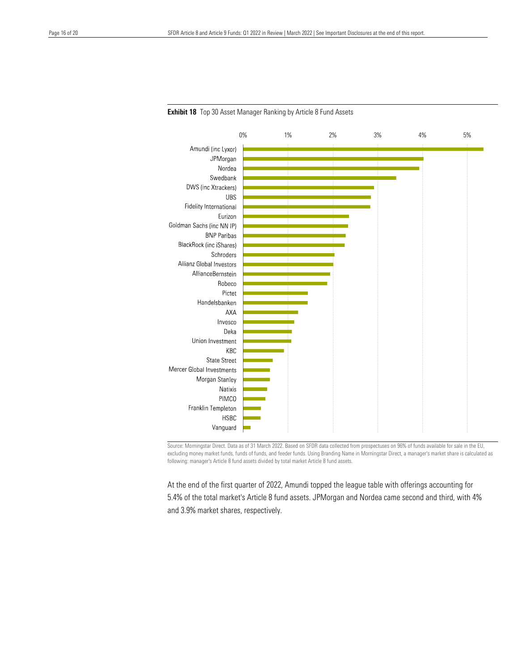

**Exhibit 18** Top 30 Asset Manager Ranking by Article 8 Fund Assets

Source: Morningstar Direct. Data as of 31 March 2022. Based on SFDR data collected from prospectuses on 96% of funds available for sale in the EU, excluding money market funds, funds of funds, and feeder funds. Using Branding Name in Morningstar Direct, a manager's market share is calculated as following: manager's Article 8 fund assets divided by total market Article 8 fund assets.

At the end of the first quarter of 2022, Amundi topped the league table with offerings accounting for 5.4% of the total market's Article 8 fund assets. JPMorgan and Nordea came second and third, with 4% and 3.9% market shares, respectively.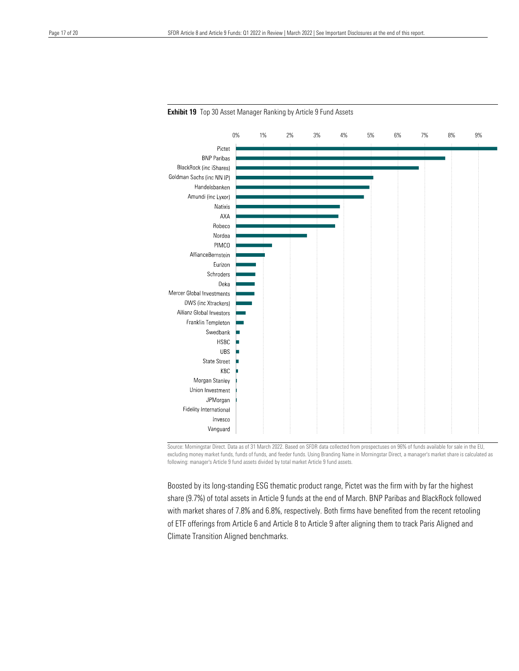

**Exhibit 19** Top 30 Asset Manager Ranking by Article 9 Fund Assets

Source: Morningstar Direct. Data as of 31 March 2022. Based on SFDR data collected from prospectuses on 96% of funds available for sale in the EU, excluding money market funds, funds of funds, and feeder funds. Using Branding Name in Morningstar Direct, a manager's market share is calculated as following: manager's Article 9 fund assets divided by total market Article 9 fund assets.

Boosted by its long-standing ESG thematic product range, Pictet was the firm with by far the highest share (9.7%) of total assets in Article 9 funds at the end of March. BNP Paribas and BlackRock followed with market shares of 7.8% and 6.8%, respectively. Both firms have benefited from the recent retooling of ETF offerings from Article 6 and Article 8 to Article 9 after aligning them to track Paris Aligned and Climate Transition Aligned benchmarks.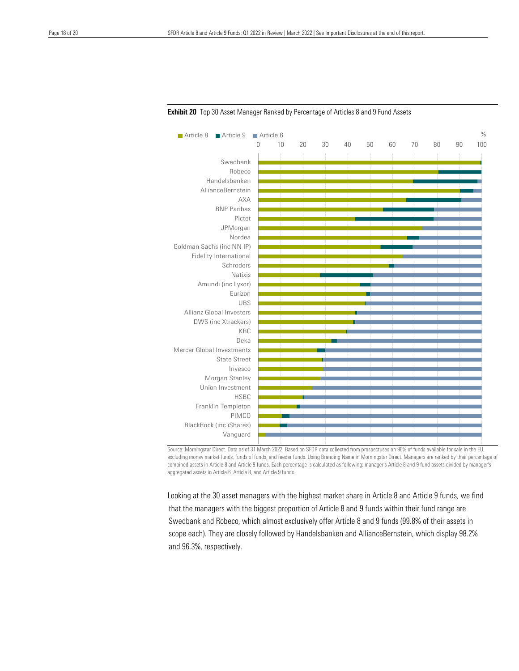| Article 9<br>Article 8         | $\blacksquare$ Article 6 |    |    |    |    |    |    |    |    |    | $\%$ |
|--------------------------------|--------------------------|----|----|----|----|----|----|----|----|----|------|
|                                | $\mathbf 0$              | 10 | 20 | 30 | 40 | 50 | 60 | 70 | 80 | 90 | 100  |
| Swedbank                       |                          |    |    |    |    |    |    |    |    |    |      |
| Robeco                         |                          |    |    |    |    |    |    |    |    |    |      |
| Handelsbanken                  |                          |    |    |    |    |    |    |    |    |    |      |
| AllianceBernstein              |                          |    |    |    |    |    |    |    |    |    |      |
| <b>AXA</b>                     |                          |    |    |    |    |    |    |    |    |    |      |
| <b>BNP Paribas</b>             |                          |    |    |    |    |    |    |    |    |    |      |
| Pictet                         |                          |    |    |    |    |    |    |    |    |    |      |
| JPMorgan                       |                          |    |    |    |    |    |    |    |    |    |      |
| Nordea                         |                          |    |    |    |    |    |    |    |    |    |      |
| Goldman Sachs (inc NN IP)      |                          |    |    |    |    |    |    |    |    |    |      |
| Fidelity International         |                          |    |    |    |    |    |    |    |    |    |      |
| Schroders                      |                          |    |    |    |    |    |    |    |    |    |      |
| Natixis                        |                          |    |    |    |    |    |    |    |    |    |      |
| Amundi (inc Lyxor)             |                          |    |    |    |    |    |    |    |    |    |      |
| Eurizon                        |                          |    |    |    |    |    |    |    |    |    |      |
| <b>UBS</b>                     |                          |    |    |    |    |    |    |    |    |    |      |
| Allianz Global Investors       |                          |    |    |    |    |    |    |    |    |    |      |
| DWS (inc Xtrackers)            |                          |    |    |    |    |    |    |    |    |    |      |
| KBC                            |                          |    |    |    |    |    |    |    |    |    |      |
| Deka                           |                          |    |    |    |    |    |    |    |    |    |      |
| Mercer Global Investments      |                          |    |    |    |    |    |    |    |    |    |      |
| <b>State Street</b>            |                          |    |    |    |    |    |    |    |    |    |      |
| Invesco                        |                          |    |    |    |    |    |    |    |    |    |      |
| Morgan Stanley                 |                          |    |    |    |    |    |    |    |    |    |      |
| Union Investment               |                          |    |    |    |    |    |    |    |    |    |      |
| <b>HSBC</b>                    |                          |    |    |    |    |    |    |    |    |    |      |
| Franklin Templeton             |                          |    |    |    |    |    |    |    |    |    |      |
| <b>PIMCO</b>                   |                          |    |    |    |    |    |    |    |    |    |      |
| <b>BlackRock (inc iShares)</b> |                          |    |    |    |    |    |    |    |    |    |      |
| Vanguard                       |                          |    |    |    |    |    |    |    |    |    |      |
|                                |                          |    |    |    |    |    |    |    |    |    |      |

**Exhibit 20** Top 30 Asset Manager Ranked by Percentage of Articles 8 and 9 Fund Assets

Source: Morningstar Direct. Data as of 31 March 2022. Based on SFDR data collected from prospectuses on 96% of funds available for sale in the EU, excluding money market funds, funds of funds, and feeder funds. Using Branding Name in Morningstar Direct. Managers are ranked by their percentage of combined assets in Article 8 and Article 9 funds. Each percentage is calculated as following: manager's Article 8 and 9 fund assets divided by manager's aggregated assets in Article 6, Article 8, and Article 9 funds.

Looking at the 30 asset managers with the highest market share in Article 8 and Article 9 funds, we find that the managers with the biggest proportion of Article 8 and 9 funds within their fund range are Swedbank and Robeco, which almost exclusively offer Article 8 and 9 funds (99.8% of their assets in scope each). They are closely followed by Handelsbanken and AllianceBernstein, which display 98.2% and 96.3%, respectively.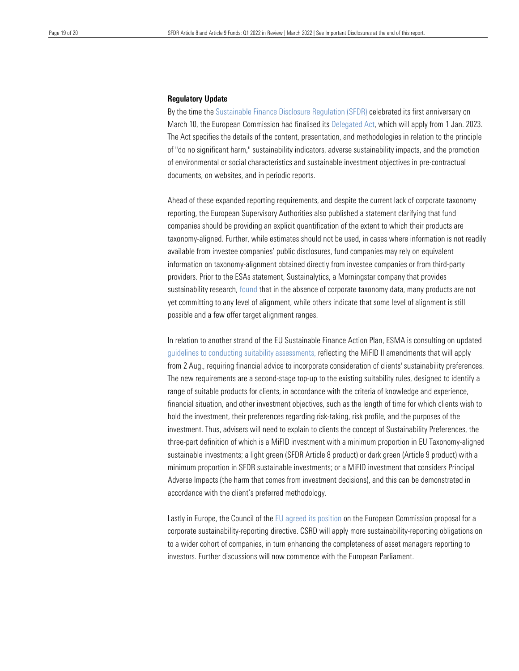#### Regulatory Update

 By the time th[e Sustainable](https://assets.contentstack.io/v3/assets/blt4eb669caa7dc65b2/blt989542c4fba32038/6203ce883d56844907a2b5e3/SFDR-Article-8-and-Article-9-Funds-2021-in-Review.pdf) Finance Disclosure Regulation (SFDR) celebrated its first anniversary on March 10, the European Commission had finalised its [Delegated](https://ec.europa.eu/info/law/sustainable-finance-taxonomy-regulation-eu-2020-852/amending-and-supplementary-acts/implementing-and-delegated-acts_en) Act, which will apply from 1 Jan. 2023. of "do no significant harm," sustainability indicators, adverse sustainability impacts, and the promotion of environmental or social characteristics and sustainable investment objectives in pre-contractual The Act specifies the details of the content, presentation, and methodologies in relation to the principle documents, on websites, and in periodic reports.

Ahead of these expanded reporting requirements, and despite the current lack of corporate taxonomy reporting, the European Supervisory Authorities also published a [statement](chrome-extension://efaidnbmnnnibpcajpcglclefindmkaj/https:/www.esma.europa.eu/sites/default/files/library/jc_2022_12_-_updated_supervisory_statement_on_the_application_of_the_sfdr.pdf) clarifying that fund companies should be providing an explicit quantification of the extent to which their products are taxonomy-aligned. Further, while estimates should not be used, in cases where information is not readily available from investee companies' public disclosures, fund companies may rely on equivalent information on taxonomy-alignment obtained directly from investee companies or from third-party providers. Prior to the ESAs statement, Sustainalytics, a Morningstar company that provides sustainability research[, found](https://www.sustainalytics.com/esg-research/resource/investors-esg-blog/eu-taxonomy-alignment-of-article-8-and-9-funds-reporting) that in the absence of corporate taxonomy data, many products are not yet committing to any level of alignment, while others indicate that some level of alignment is still possible and a few offer target alignment ranges.

In relation to another strand of the EU Sustainable Finance Action Plan, ESMA is consulting on updated guidelines to conducting suitability [assessments,](https://www.esma.europa.eu/sites/default/files/library/esma35-43-2998_consultation_paper_on_review_mifid_ii_guidelines_on_suitability.pdf) reflecting the MiFID II amendments that will apply from 2 Aug., requiring financial advice to incorporate consideration of clients' sustainability preferences. The new requirements are a second-stage top-up to the existing suitability rules, designed to identify a range of suitable products for clients, in accordance with the criteria of knowledge and experience, financial situation, and other investment objectives, such as the length of time for which clients wish to hold the investment, their preferences regarding risk-taking, risk profile, and the purposes of the investment. Thus, advisers will need to explain to clients the concept of Sustainability Preferences, the three-part definition of which is a MiFID investment with a minimum proportion in EU Taxonomy-aligned sustainable investments; a light green (SFDR Article 8 product) or dark green (Article 9 product) with a minimum proportion in SFDR sustainable investments; or a MiFID investment that considers Principal Adverse Impacts (the harm that comes from investment decisions), and this can be demonstrated in accordance with the client's preferred methodology.

Lastly in Europe, the Council of the EU agreed its [position](https://www.consilium.europa.eu/en/press/press-releases/2022/02/24/council-adopts-position-on-the-corporate-sustainability-reporting-directive-csrd/) on the European Commission proposal for a corporate sustainability-reporting directive. CSRD will apply more sustainability-reporting obligations on to a wider cohort of companies, in turn enhancing the completeness of asset managers reporting to investors. Further discussions will now commence with the European Parliament.